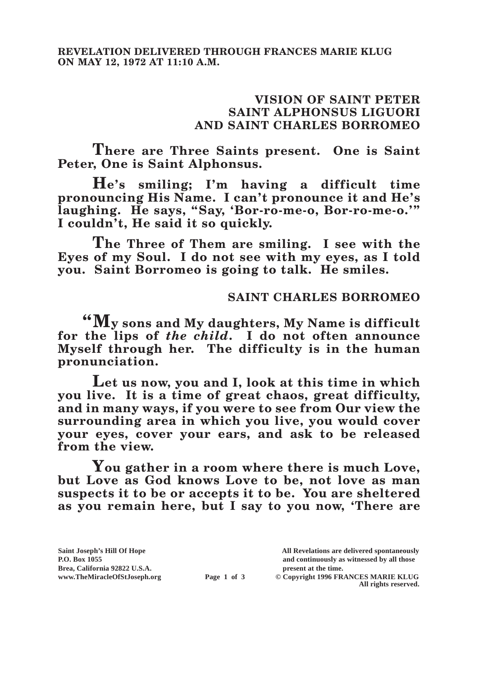## **VISION OF SAINT PETER SAINT ALPHONSUS LIGUORI AND SAINT CHARLES BORROMEO**

**There are Three Saints present. One is Saint Peter, One is Saint Alphonsus.**

**He's smiling; I'm having a difficult time pronouncing His Name. I can't pronounce it and He's laughing. He says, "Say, 'Bor-ro-me-o, Bor-ro-me-o.'" I couldn't, He said it so quickly.**

**The Three of Them are smiling. I see with the Eyes of my Soul. I do not see with my eyes, as I told you. Saint Borromeo is going to talk. He smiles.**

## **SAINT CHARLES BORROMEO**

**"My sons and My daughters, My Name is difficult for the lips of** *the child***. I do not often announce Myself through her. The difficulty is in the human pronunciation.**

**Let us now, you and I, look at this time in which you live. It is a time of great chaos, great difficulty, and in many ways, if you were to see from Our view the surrounding area in which you live, you would cover your eyes, cover your ears, and ask to be released from the view.**

**You gather in a room where there is much Love, but Love as God knows Love to be, not love as man suspects it to be or accepts it to be. You are sheltered as you remain here, but I say to you now, 'There are**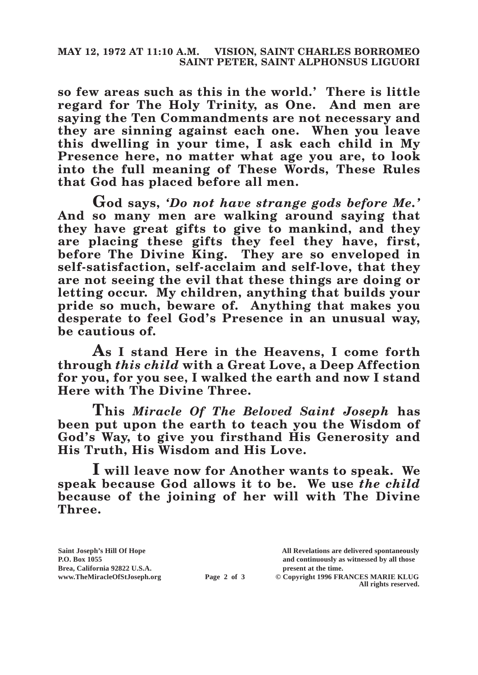**so few areas such as this in the world.' There is little regard for The Holy Trinity, as One. And men are saying the Ten Commandments are not necessary and they are sinning against each one. When you leave this dwelling in your time, I ask each child in My Presence here, no matter what age you are, to look into the full meaning of These Words, These Rules that God has placed before all men.**

**God says,** *'Do not have strange gods before Me.'* **And so many men are walking around saying that they have great gifts to give to mankind, and they are placing these gifts they feel they have, first, before The Divine King. They are so enveloped in self-satisfaction, self-acclaim and self-love, that they are not seeing the evil that these things are doing or letting occur. My children, anything that builds your pride so much, beware of. Anything that makes you desperate to feel God's Presence in an unusual way, be cautious of.**

**As I stand Here in the Heavens, I come forth through** *this child* **with a Great Love, a Deep Affection for you, for you see, I walked the earth and now I stand Here with The Divine Three.**

**This** *Miracle Of The Beloved Saint Joseph* **has been put upon the earth to teach you the Wisdom of God's Way, to give you firsthand His Generosity and His Truth, His Wisdom and His Love.**

**I will leave now for Another wants to speak. We speak because God allows it to be. We use** *the child* **because of the joining of her will with The Divine Three.**

**Saint Joseph's Hill Of Hope All Revelations are delivered spontaneously P.O. Box 1055 and continuously as witnessed by all those** 

**Page 2 of 3** © Copyright 1996 FRANCES MARIE KLUG **All rights reserved.**